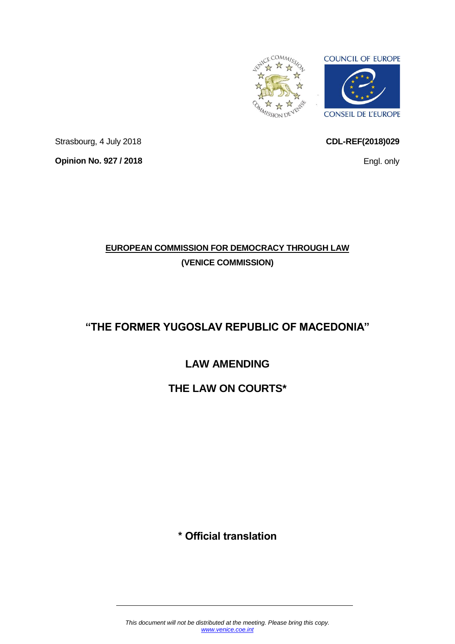

<span id="page-0-0"></span>**CDL-REF(2018)029**

Engl. only

Strasbourg, 4 July 2018 **Opinion No. 927 / 2018**

## **EUROPEAN COMMISSION FOR DEMOCRACY THROUGH LAW (VENICE COMMISSION)**

# **"THE FORMER YUGOSLAV REPUBLIC OF MACEDONIA"**

# **LAW AMENDING**

# **THE LAW ON COURTS\***

# **\* Official translation**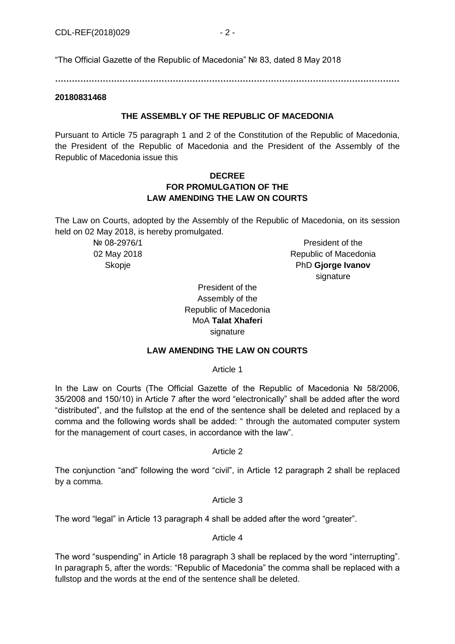"The Official Gazette of the Republic of Macedonia" № 83, dated 8 May 2018

**……………………………………………………………………………………………………………**

#### **20180831468**

## **THE ASSEMBLY OF THE REPUBLIC OF MACEDONIA**

Pursuant to Article 75 paragraph 1 and 2 of the Constitution of the Republic of Macedonia, the President of the Republic of Macedonia and the President of the Assembly of the Republic of Macedonia issue this

## **DECREE FOR PROMULGATION OF THE LAW AMENDING THE LAW ON COURTS**

The Law on Courts, adopted by the Assembly of the Republic of Macedonia, on its session held on 02 May 2018, is hereby promulgated.

> № 08-2976/1 02 May 2018 **Skopje**

President of the Republic of Macedonia PhD **Gjorge Ivanov** signature

President of the Assembly of the Republic of Macedonia MoA **Talat Xhaferi** signature

## **LAW AMENDING THE LAW ON COURTS**

Article 1

In the Law on Courts (The Official Gazette of the Republic of Macedonia № 58/2006, 35/2008 and 150/10) in Article 7 after the word "electronically" shall be added after the word "distributed", and the fullstop at the end of the sentence shall be deleted and replaced by a comma and the following words shall be added: " through the automated computer system for the management of court cases, in accordance with the law".

Article 2

The conjunction "and" following the word "civil", in Article 12 paragraph 2 shall be replaced by a comma.

Article 3

The word "legal" in Article 13 paragraph 4 shall be added after the word "greater".

## Article 4

The word "suspending" in Article 18 paragraph 3 shall be replaced by the word "interrupting". In paragraph 5, after the words: "Republic of Macedonia" the comma shall be replaced with a fullstop and the words at the end of the sentence shall be deleted.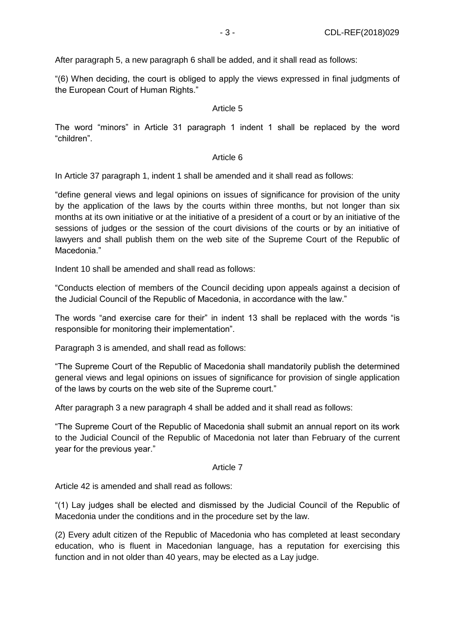After paragraph 5, a new paragraph 6 shall be added, and it shall read as follows:

"(6) When deciding, the court is obliged to apply the views expressed in final judgments of the European Court of Human Rights."

#### Article 5

The word "minors" in Article 31 paragraph 1 indent 1 shall be replaced by the word "children".

#### Article 6

In Article 37 paragraph 1, indent 1 shall be amended and it shall read as follows:

"define general views and legal opinions on issues of significance for provision of the unity by the application of the laws by the courts within three months, but not longer than six months at its own initiative or at the initiative of a president of a court or by an initiative of the sessions of judges or the session of the court divisions of the courts or by an initiative of lawyers and shall publish them on the web site of the Supreme Court of the Republic of Macedonia."

Indent 10 shall be amended and shall read as follows:

"Conducts election of members of the Council deciding upon appeals against a decision of the Judicial Council of the Republic of Macedonia, in accordance with the law."

The words "and exercise care for their" in indent 13 shall be replaced with the words "is responsible for monitoring their implementation".

Paragraph 3 is amended, and shall read as follows:

"The Supreme Court of the Republic of Macedonia shall mandatorily publish the determined general views and legal opinions on issues of significance for provision of single application of the laws by courts on the web site of the Supreme court."

After paragraph 3 a new paragraph 4 shall be added and it shall read as follows:

"The Supreme Court of the Republic of Macedonia shall submit an annual report on its work to the Judicial Council of the Republic of Macedonia not later than February of the current year for the previous year."

## Article 7

Article 42 is amended and shall read as follows:

"(1) Lay judges shall be elected and dismissed by the Judicial Council of the Republic of Macedonia under the conditions and in the procedure set by the law.

(2) Every adult citizen of the Republic of Macedonia who has completed at least secondary education, who is fluent in Macedonian language, has a reputation for exercising this function and in not older than 40 years, may be elected as a Lay judge.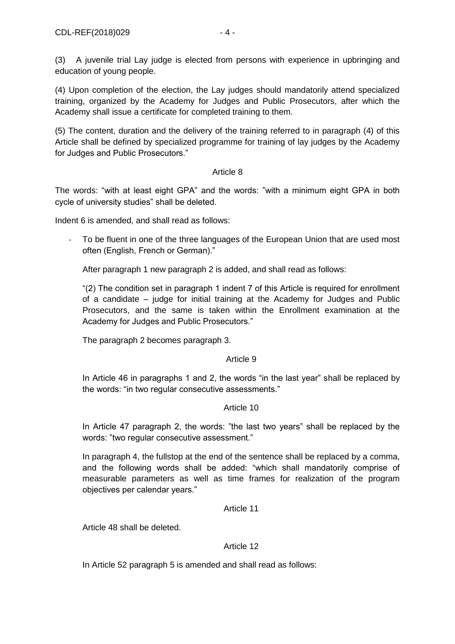(4) Upon completion of the election, the Lay judges should mandatorily attend specialized training, organized by the Academy for Judges and Public Prosecutors, after which the Academy shall issue a certificate for completed training to them.

(5) The content, duration and the delivery of the training referred to in paragraph (4) of this Article shall be defined by specialized programme for training of lay judges by the Academy for Judges and Public Prosecutors."

## Article 8

The words: "with at least eight GPA" and the words: "with a minimum eight GPA in both cycle of university studies" shall be deleted.

Indent 6 is amended, and shall read as follows:

To be fluent in one of the three languages of the European Union that are used most often (English, French or German)."

After paragraph 1 new paragraph 2 is added, and shall read as follows:

"(2) The condition set in paragraph 1 indent 7 of this Article is required for enrollment of a candidate – judge for initial training at the Academy for Judges and Public Prosecutors, and the same is taken within the Enrollment examination at the Academy for Judges and Public Prosecutors."

The paragraph 2 becomes paragraph 3.

## Article 9

In Article 46 in paragraphs 1 and 2, the words "in the last year" shall be replaced by the words: "in two regular consecutive assessments."

## Article 10

In Article 47 paragraph 2, the words: "the last two years" shall be replaced by the words: "two regular consecutive assessment."

In paragraph 4, the fullstop at the end of the sentence shall be replaced by a comma, and the following words shall be added: "which shall mandatorily comprise of measurable parameters as well as time frames for realization of the program objectives per calendar years."

## Article 11

Article 48 shall be deleted.

## Article 12

In Article 52 paragraph 5 is amended and shall read as follows: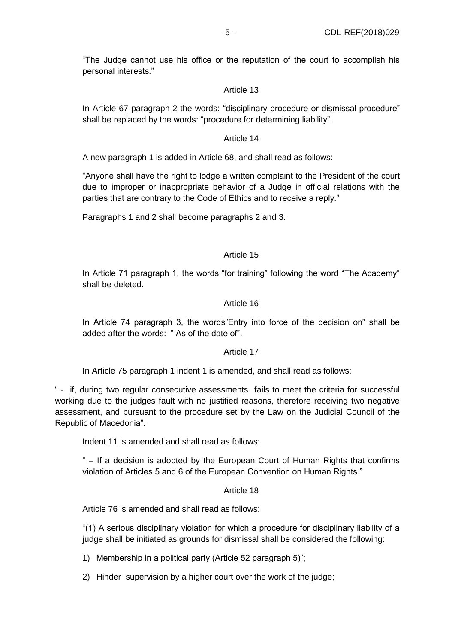"The Judge cannot use his office or the reputation of the court to accomplish his personal interests."

#### Article 13

In Article 67 paragraph 2 the words: "disciplinary procedure or dismissal procedure" shall be replaced by the words: "procedure for determining liability".

#### Article 14

A new paragraph 1 is added in Article 68, and shall read as follows:

"Anyone shall have the right to lodge a written complaint to the President of the court due to improper or inappropriate behavior of a Judge in official relations with the parties that are contrary to the Code of Ethics and to receive a reply."

Paragraphs 1 and 2 shall become paragraphs 2 and 3.

## Article 15

In Article 71 paragraph 1, the words "for training" following the word "The Academy" shall be deleted.

#### Article 16

In Article 74 paragraph 3, the words"Entry into force of the decision on" shall be added after the words: " As of the date of".

#### Article 17

In Article 75 paragraph 1 indent 1 is amended, and shall read as follows:

" - if, during two regular consecutive assessments fails to meet the criteria for successful working due to the judges fault with no justified reasons, therefore receiving two negative assessment, and pursuant to the procedure set by the Law on the Judicial Council of the Republic of Macedonia".

Indent 11 is amended and shall read as follows:

" – If a decision is adopted by the European Court of Human Rights that confirms violation of Articles 5 and 6 of the European Convention on Human Rights."

#### Article 18

Article 76 is amended and shall read as follows:

"(1) A serious disciplinary violation for which a procedure for disciplinary liability of a judge shall be initiated as grounds for dismissal shall be considered the following:

1) Membership in a political party (Article 52 paragraph 5)";

2) Hinder supervision by a higher court over the work of the judge;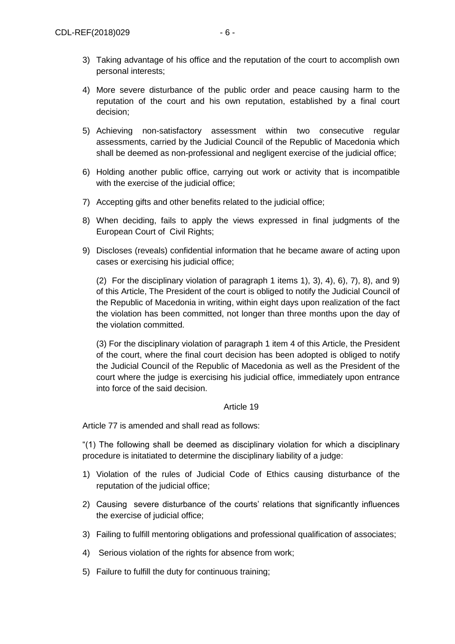- 3) Taking advantage of his office and the reputation of the court to accomplish own personal interests;
- 4) More severe disturbance of the public order and peace causing harm to the reputation of the court and his own reputation, established by a final court decision;
- 5) Achieving non-satisfactory assessment within two consecutive regular assessments, carried by the Judicial Council of the Republic of Macedonia which shall be deemed as non-professional and negligent exercise of the judicial office;
- 6) Holding another public office, carrying out work or activity that is incompatible with the exercise of the judicial office;
- 7) Accepting gifts and other benefits related to the judicial office;
- 8) When deciding, fails to apply the views expressed in final judgments of the European Court of Civil Rights;
- 9) Discloses (reveals) confidential information that he became aware of acting upon cases or exercising his judicial office;

(2) For the disciplinary violation of paragraph 1 items 1), 3), 4), 6), 7), 8), and 9) of this Article, The President of the court is obliged to notify the Judicial Council of the Republic of Macedonia in writing, within eight days upon realization of the fact the violation has been committed, not longer than three months upon the day of the violation committed.

(3) For the disciplinary violation of paragraph 1 item 4 of this Article, the President of the court, where the final court decision has been adopted is obliged to notify the Judicial Council of the Republic of Macedonia as well as the President of the court where the judge is exercising his judicial office, immediately upon entrance into force of the said decision.

## Article 19

Article 77 is amended and shall read as follows:

"(1) The following shall be deemed as disciplinary violation for which a disciplinary procedure is initatiated to determine the disciplinary liability of a judge:

- 1) Violation of the rules of Judicial Code of Ethics causing disturbance of the reputation of the judicial office;
- 2) Causing severe disturbance of the courts' relations that significantly influences the exercise of judicial office;
- 3) Failing to fulfill mentoring obligations and professional qualification of associates;
- 4) Serious violation of the rights for absence from work;
- 5) Failure to fulfill the duty for continuous training;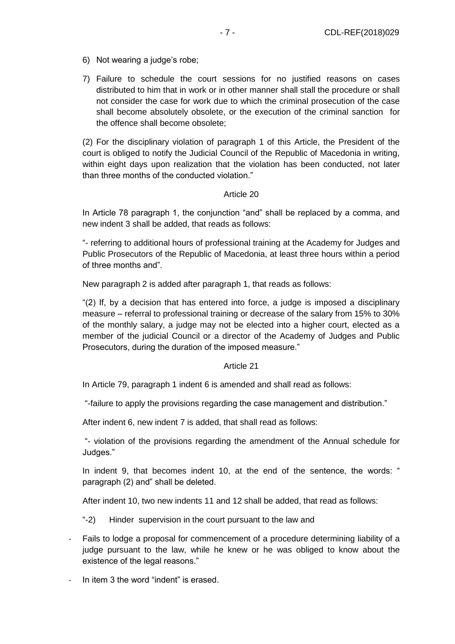- 6) Not wearing a judge's robe;
- 7) Failure to schedule the court sessions for no justified reasons on cases distributed to him that in work or in other manner shall stall the procedure or shall not consider the case for work due to which the criminal prosecution of the case shall become absolutely obsolete, or the execution of the criminal sanction for the offence shall become obsolete;

(2) For the disciplinary violation of paragraph 1 of this Article, the President of the court is obliged to notify the Judicial Council of the Republic of Macedonia in writing, within eight days upon realization that the violation has been conducted, not later than three months of the conducted violation."

## Article 20

In Article 78 paragraph 1, the conjunction "and" shall be replaced by a comma, and new indent 3 shall be added, that reads as follows:

"- referring to additional hours of professional training at the Academy for Judges and Public Prosecutors of the Republic of Macedonia, at least three hours within a period of three months and".

New paragraph 2 is added after paragraph 1, that reads as follows:

"(2) If, by a decision that has entered into force, a judge is imposed a disciplinary measure – referral to professional training or decrease of the salary from 15% to 30% of the monthly salary, a judge may not be elected into a higher court, elected as a member of the judicial Council or a director of the Academy of Judges and Public Prosecutors, during the duration of the imposed measure."

#### Article 21

In Article 79, paragraph 1 indent 6 is amended and shall read as follows:

"-failure to apply the provisions regarding the case management and distribution."

After indent 6, new indent 7 is added, that shall read as follows:

"- violation of the provisions regarding the amendment of the Annual schedule for Judges."

In indent 9, that becomes indent 10, at the end of the sentence, the words: " paragraph (2) and" shall be deleted.

After indent 10, two new indents 11 and 12 shall be added, that read as follows:

"-2) Hinder supervision in the court pursuant to the law and

- Fails to lodge a proposal for commencement of a procedure determining liability of a judge pursuant to the law, while he knew or he was obliged to know about the existence of the legal reasons."
- In item 3 the word "indent" is erased.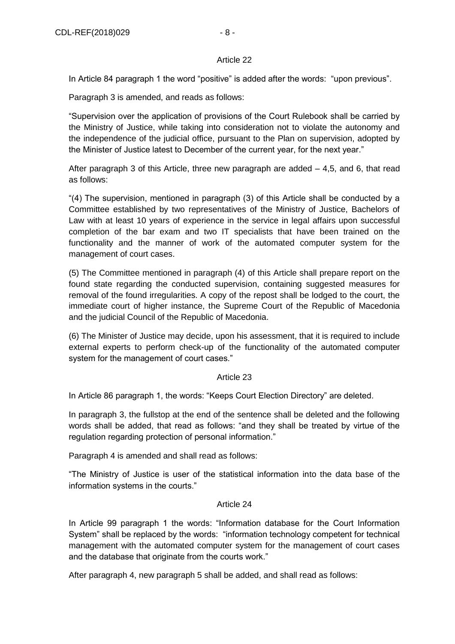#### Article 22

In Article 84 paragraph 1 the word "positive" is added after the words: "upon previous".

Paragraph 3 is amended, and reads as follows:

"Supervision over the application of provisions of the Court Rulebook shall be carried by the Ministry of Justice, while taking into consideration not to violate the autonomy and the independence of the judicial office, pursuant to the Plan on supervision, adopted by the Minister of Justice latest to December of the current year, for the next year."

After paragraph 3 of this Article, three new paragraph are added  $-4,5$ , and 6, that read as follows:

"(4) The supervision, mentioned in paragraph (3) of this Article shall be conducted by a Committee established by two representatives of the Ministry of Justice, Bachelors of Law with at least 10 years of experience in the service in legal affairs upon successful completion of the bar exam and two IT specialists that have been trained on the functionality and the manner of work of the automated computer system for the management of court cases.

(5) The Committee mentioned in paragraph (4) of this Article shall prepare report on the found state regarding the conducted supervision, containing suggested measures for removal of the found irregularities. A copy of the repost shall be lodged to the court, the immediate court of higher instance, the Supreme Court of the Republic of Macedonia and the judicial Council of the Republic of Macedonia.

(6) The Minister of Justice may decide, upon his assessment, that it is required to include external experts to perform check-up of the functionality of the automated computer system for the management of court cases."

## Article 23

In Article 86 paragraph 1, the words: "Keeps Court Election Directory" are deleted.

In paragraph 3, the fullstop at the end of the sentence shall be deleted and the following words shall be added, that read as follows: "and they shall be treated by virtue of the regulation regarding protection of personal information."

Paragraph 4 is amended and shall read as follows:

"The Ministry of Justice is user of the statistical information into the data base of the information systems in the courts."

## Article 24

In Article 99 paragraph 1 the words: "Information database for the Court Information System" shall be replaced by the words: "information technology competent for technical management with the automated computer system for the management of court cases and the database that originate from the courts work."

After paragraph 4, new paragraph 5 shall be added, and shall read as follows: